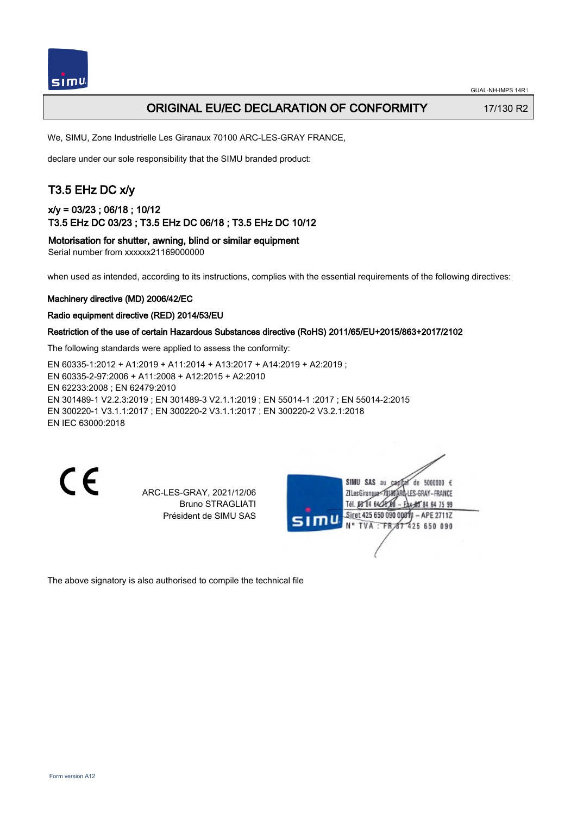

## ORIGINAL EU/EC DECLARATION OF CONFORMITY 17/130 R2

We, SIMU, Zone Industrielle Les Giranaux 70100 ARC-LES-GRAY FRANCE,

declare under our sole responsibility that the SIMU branded product:

## T3.5 EHz DC x/y

## x/y = 03/23 ; 06/18 ; 10/12 T3.5 EHz DC 03/23 ; T3.5 EHz DC 06/18 ; T3.5 EHz DC 10/12

Motorisation for shutter, awning, blind or similar equipment

Serial number from xxxxxx21169000000

when used as intended, according to its instructions, complies with the essential requirements of the following directives:

### Machinery directive (MD) 2006/42/EC

#### Radio equipment directive (RED) 2014/53/EU

### Restriction of the use of certain Hazardous Substances directive (RoHS) 2011/65/EU+2015/863+2017/2102

The following standards were applied to assess the conformity:

EN 60335‑1:2012 + A1:2019 + A11:2014 + A13:2017 + A14:2019 + A2:2019 ; EN 60335‑2‑97:2006 + A11:2008 + A12:2015 + A2:2010 EN 62233:2008 ; EN 62479:2010 EN 301489‑1 V2.2.3:2019 ; EN 301489‑3 V2.1.1:2019 ; EN 55014‑1 :2017 ; EN 55014‑2:2015 EN 300220‑1 V3.1.1:2017 ; EN 300220‑2 V3.1.1:2017 ; EN 300220‑2 V3.2.1:2018 EN IEC 63000:2018

CE

ARC-LES-GRAY, 2021/12/06 Bruno STRAGLIATI Président de SIMU SAS



The above signatory is also authorised to compile the technical file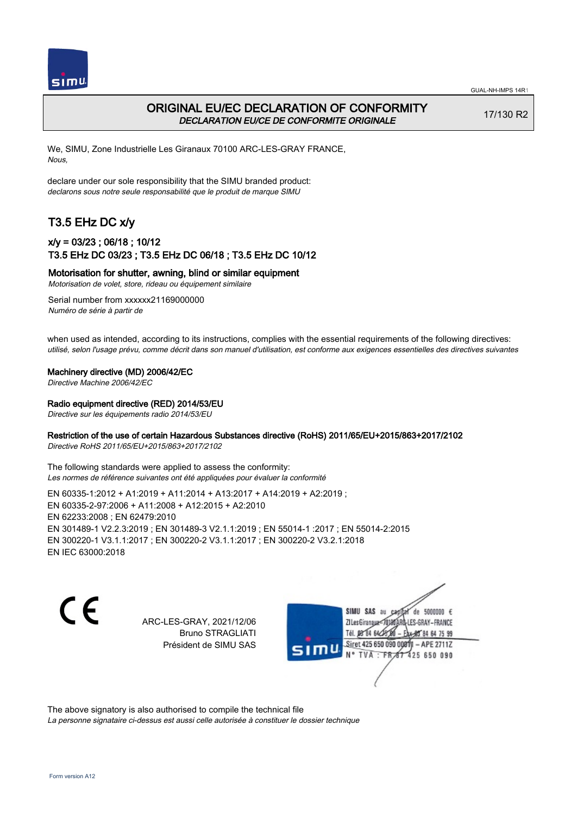



## ORIGINAL EU/EC DECLARATION OF CONFORMITY DECLARATION EU/CE DE CONFORMITE ORIGINALE

17/130 R2

We, SIMU, Zone Industrielle Les Giranaux 70100 ARC-LES-GRAY FRANCE, Nous,

declare under our sole responsibility that the SIMU branded product: declarons sous notre seule responsabilité que le produit de marque SIMU

# T3.5 EHz DC x/y

### x/y = 03/23 ; 06/18 ; 10/12 T3.5 EHz DC 03/23 ; T3.5 EHz DC 06/18 ; T3.5 EHz DC 10/12

Motorisation for shutter, awning, blind or similar equipment

Motorisation de volet, store, rideau ou équipement similaire

Serial number from xxxxxx21169000000 Numéro de série à partir de

when used as intended, according to its instructions, complies with the essential requirements of the following directives: utilisé, selon l'usage prévu, comme décrit dans son manuel d'utilisation, est conforme aux exigences essentielles des directives suivantes

Machinery directive (MD) 2006/42/EC

Directive Machine 2006/42/EC

Radio equipment directive (RED) 2014/53/EU

Directive sur les équipements radio 2014/53/EU

#### Restriction of the use of certain Hazardous Substances directive (RoHS) 2011/65/EU+2015/863+2017/2102

Directive RoHS 2011/65/EU+2015/863+2017/2102

The following standards were applied to assess the conformity: Les normes de référence suivantes ont été appliquées pour évaluer la conformité

EN 60335‑1:2012 + A1:2019 + A11:2014 + A13:2017 + A14:2019 + A2:2019 ; EN 60335‑2‑97:2006 + A11:2008 + A12:2015 + A2:2010 EN 62233:2008 ; EN 62479:2010 EN 301489‑1 V2.2.3:2019 ; EN 301489‑3 V2.1.1:2019 ; EN 55014‑1 :2017 ; EN 55014‑2:2015 EN 300220‑1 V3.1.1:2017 ; EN 300220‑2 V3.1.1:2017 ; EN 300220‑2 V3.2.1:2018 EN IEC 63000:2018

C F

ARC-LES-GRAY, 2021/12/06 Bruno STRAGLIATI Président de SIMU SAS

de 5000000  $\epsilon$ SIMU SAS au ZI Les Giranaux<sup>2</sup> ES-GRAY-FRANCE Tél. 08 84 64 2 64 75 99 Siret 425 650 090 00811  $-$  APF 27117 125 650 090

The above signatory is also authorised to compile the technical file

La personne signataire ci-dessus est aussi celle autorisée à constituer le dossier technique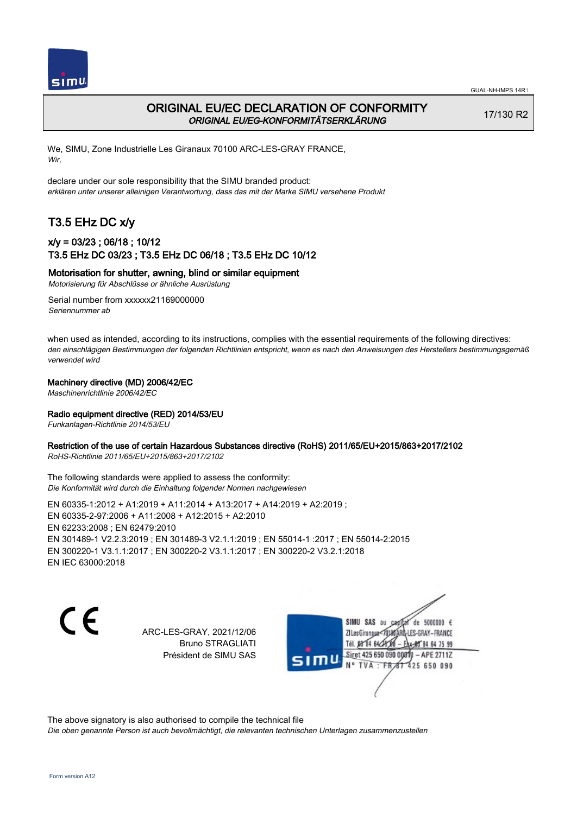



## ORIGINAL EU/EC DECLARATION OF CONFORMITY ORIGINAL EU/EG-KONFORMITÄTSERKLÄRUNG

17/130 R2

We, SIMU, Zone Industrielle Les Giranaux 70100 ARC-LES-GRAY FRANCE, Wir,

declare under our sole responsibility that the SIMU branded product: erklären unter unserer alleinigen Verantwortung, dass das mit der Marke SIMU versehene Produkt

# T3.5 EHz DC x/y

## x/y = 03/23 ; 06/18 ; 10/12 T3.5 EHz DC 03/23 ; T3.5 EHz DC 06/18 ; T3.5 EHz DC 10/12

#### Motorisation for shutter, awning, blind or similar equipment

Motorisierung für Abschlüsse or ähnliche Ausrüstung

Serial number from xxxxxx21169000000 Seriennummer ab

when used as intended, according to its instructions, complies with the essential requirements of the following directives: den einschlägigen Bestimmungen der folgenden Richtlinien entspricht, wenn es nach den Anweisungen des Herstellers bestimmungsgemäß verwendet wird

#### Machinery directive (MD) 2006/42/EC

Maschinenrichtlinie 2006/42/EC

#### Radio equipment directive (RED) 2014/53/EU

Funkanlagen-Richtlinie 2014/53/EU

#### Restriction of the use of certain Hazardous Substances directive (RoHS) 2011/65/EU+2015/863+2017/2102

RoHS-Richtlinie 2011/65/EU+2015/863+2017/2102

The following standards were applied to assess the conformity: Die Konformität wird durch die Einhaltung folgender Normen nachgewiesen

EN 60335‑1:2012 + A1:2019 + A11:2014 + A13:2017 + A14:2019 + A2:2019 ; EN 60335‑2‑97:2006 + A11:2008 + A12:2015 + A2:2010 EN 62233:2008 ; EN 62479:2010 EN 301489‑1 V2.2.3:2019 ; EN 301489‑3 V2.1.1:2019 ; EN 55014‑1 :2017 ; EN 55014‑2:2015 EN 300220‑1 V3.1.1:2017 ; EN 300220‑2 V3.1.1:2017 ; EN 300220‑2 V3.2.1:2018 EN IEC 63000:2018

 $\epsilon$ 

ARC-LES-GRAY, 2021/12/06 Bruno STRAGLIATI Président de SIMU SAS

de 5000000  $\epsilon$ SIMU SAS au ZI Les Giranauxe LES-GRAY-FRANCE Tél. 08 84 64 24 95 84 64 75 99 Siret 425 650 090 00811 - APE 2711Z  $TVA$ : FRAT 425 650 090

The above signatory is also authorised to compile the technical file

Die oben genannte Person ist auch bevollmächtigt, die relevanten technischen Unterlagen zusammenzustellen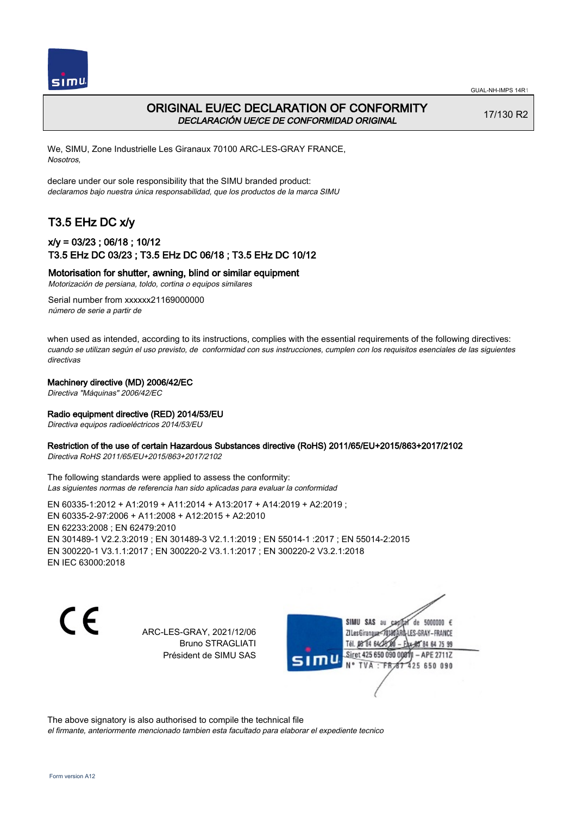



## ORIGINAL EU/EC DECLARATION OF CONFORMITY DECLARACIÓN UE/CE DE CONFORMIDAD ORIGINAL

17/130 R2

We, SIMU, Zone Industrielle Les Giranaux 70100 ARC-LES-GRAY FRANCE, Nosotros,

declare under our sole responsibility that the SIMU branded product: declaramos bajo nuestra única responsabilidad, que los productos de la marca SIMU

# T3.5 EHz DC x/y

## x/y = 03/23 ; 06/18 ; 10/12 T3.5 EHz DC 03/23 ; T3.5 EHz DC 06/18 ; T3.5 EHz DC 10/12

#### Motorisation for shutter, awning, blind or similar equipment

Motorización de persiana, toldo, cortina o equipos similares

Serial number from xxxxxx21169000000 número de serie a partir de

when used as intended, according to its instructions, complies with the essential requirements of the following directives: cuando se utilizan según el uso previsto, de conformidad con sus instrucciones, cumplen con los requisitos esenciales de las siguientes directivas

#### Machinery directive (MD) 2006/42/EC

Directiva "Máquinas" 2006/42/EC

#### Radio equipment directive (RED) 2014/53/EU

Directiva equipos radioeléctricos 2014/53/EU

#### Restriction of the use of certain Hazardous Substances directive (RoHS) 2011/65/EU+2015/863+2017/2102

Directiva RoHS 2011/65/EU+2015/863+2017/2102

The following standards were applied to assess the conformity: Las siguientes normas de referencia han sido aplicadas para evaluar la conformidad

EN 60335‑1:2012 + A1:2019 + A11:2014 + A13:2017 + A14:2019 + A2:2019 ; EN 60335‑2‑97:2006 + A11:2008 + A12:2015 + A2:2010 EN 62233:2008 ; EN 62479:2010 EN 301489‑1 V2.2.3:2019 ; EN 301489‑3 V2.1.1:2019 ; EN 55014‑1 :2017 ; EN 55014‑2:2015 EN 300220‑1 V3.1.1:2017 ; EN 300220‑2 V3.1.1:2017 ; EN 300220‑2 V3.2.1:2018 EN IEC 63000:2018

 $\epsilon$ 

ARC-LES-GRAY, 2021/12/06 Bruno STRAGLIATI Président de SIMU SAS

de 5000000  $\epsilon$ SIMU SAS au ZI Les Giranaux< LES-GRAY-FRANCE Tél. 08 84 64 24 95 84 64 75 99 Siret 425 650 090 00811 - APE 2711Z TVA: FR 67 425 650 090

The above signatory is also authorised to compile the technical file el firmante, anteriormente mencionado tambien esta facultado para elaborar el expediente tecnico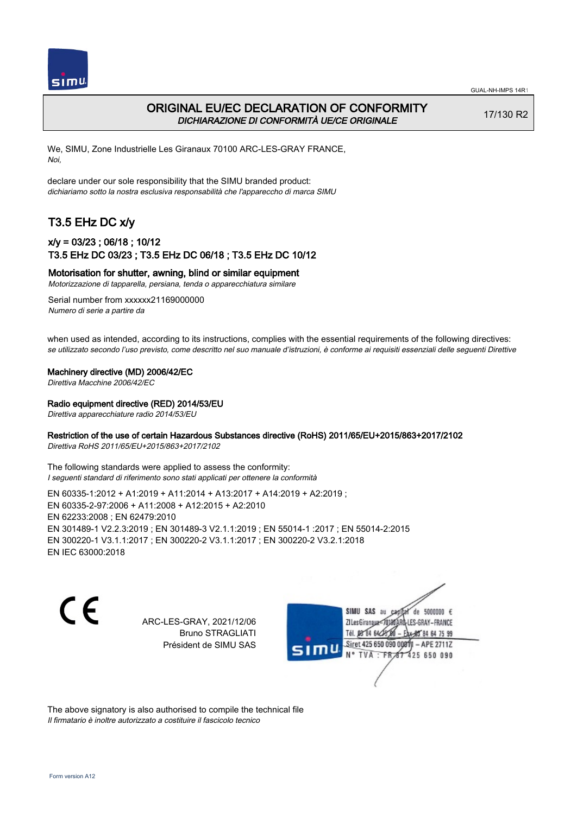

## ORIGINAL EU/EC DECLARATION OF CONFORMITY DICHIARAZIONE DI CONFORMITÀ UE/CE ORIGINALE

17/130 R2

We, SIMU, Zone Industrielle Les Giranaux 70100 ARC-LES-GRAY FRANCE, Noi,

declare under our sole responsibility that the SIMU branded product: dichiariamo sotto la nostra esclusiva responsabilità che l'appareccho di marca SIMU

# T3.5 EHz DC x/y

### x/y = 03/23 ; 06/18 ; 10/12 T3.5 EHz DC 03/23 ; T3.5 EHz DC 06/18 ; T3.5 EHz DC 10/12

Motorisation for shutter, awning, blind or similar equipment

Motorizzazione di tapparella, persiana, tenda o apparecchiatura similare

Serial number from xxxxxx21169000000 Numero di serie a partire da

when used as intended, according to its instructions, complies with the essential requirements of the following directives: se utilizzato secondo l'uso previsto, come descritto nel suo manuale d'istruzioni, è conforme ai requisiti essenziali delle seguenti Direttive

Machinery directive (MD) 2006/42/EC

Direttiva Macchine 2006/42/EC

Radio equipment directive (RED) 2014/53/EU

Direttiva apparecchiature radio 2014/53/EU

### Restriction of the use of certain Hazardous Substances directive (RoHS) 2011/65/EU+2015/863+2017/2102

Direttiva RoHS 2011/65/EU+2015/863+2017/2102

The following standards were applied to assess the conformity: I seguenti standard di riferimento sono stati applicati per ottenere la conformità

EN 60335‑1:2012 + A1:2019 + A11:2014 + A13:2017 + A14:2019 + A2:2019 ; EN 60335‑2‑97:2006 + A11:2008 + A12:2015 + A2:2010 EN 62233:2008 ; EN 62479:2010 EN 301489‑1 V2.2.3:2019 ; EN 301489‑3 V2.1.1:2019 ; EN 55014‑1 :2017 ; EN 55014‑2:2015 EN 300220‑1 V3.1.1:2017 ; EN 300220‑2 V3.1.1:2017 ; EN 300220‑2 V3.2.1:2018 EN IEC 63000:2018

C F

ARC-LES-GRAY, 2021/12/06 Bruno STRAGLIATI Président de SIMU SAS

de 5000000  $\epsilon$ SIMU SAS au ZI Les Giranaux< ES-GRAY-FRANCE Tél. 08 84 64 2 64 75 99 Siret 425 650 090 00811  $-$  APF 27117 125 650 090

The above signatory is also authorised to compile the technical file Il firmatario è inoltre autorizzato a costituire il fascicolo tecnico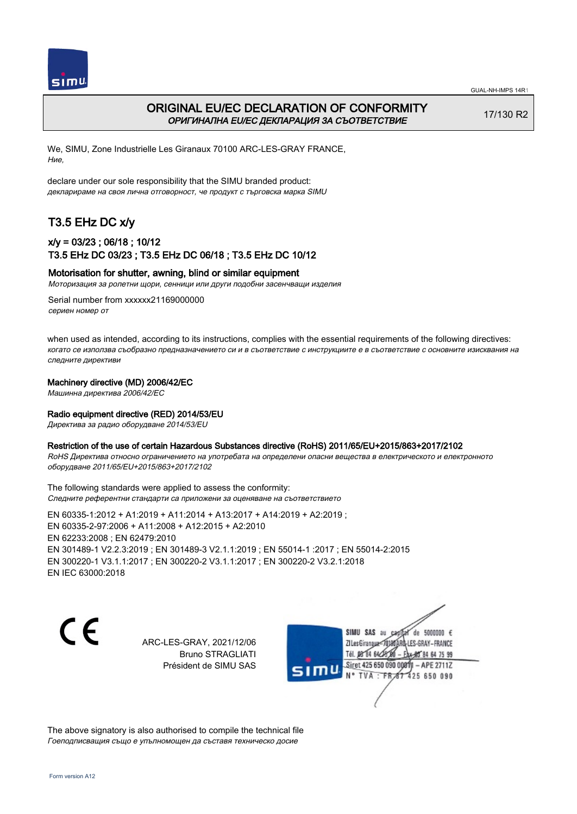



## ORIGINAL EU/EC DECLARATION OF CONFORMITY ОРИГИНАЛНА EU/EC ДЕКЛАРАЦИЯ ЗА СЪОТВЕТСТВИЕ

17/130 R2

We, SIMU, Zone Industrielle Les Giranaux 70100 ARC-LES-GRAY FRANCE, Ние,

declare under our sole responsibility that the SIMU branded product: декларираме на своя лична отговорност, че продукт с търговска марка SIMU

## T3.5 EHz DC x/y

### x/y = 03/23 ; 06/18 ; 10/12 T3.5 EHz DC 03/23 ; T3.5 EHz DC 06/18 ; T3.5 EHz DC 10/12

### Motorisation for shutter, awning, blind or similar equipment

Моторизация за ролетни щори, сенници или други подобни засенчващи изделия

Serial number from xxxxxx21169000000 сериен номер от

when used as intended, according to its instructions, complies with the essential requirements of the following directives: когато се използва съобразно предназначението си и в съответствие с инструкциите е в съответствие с основните изисквания на следните директиви

#### Machinery directive (MD) 2006/42/EC

Машинна директива 2006/42/EC

#### Radio equipment directive (RED) 2014/53/EU

Директива за радио оборудване 2014/53/EU

#### Restriction of the use of certain Hazardous Substances directive (RoHS) 2011/65/EU+2015/863+2017/2102

RoHS Директива относно ограничението на употребата на определени опасни вещества в електрическото и електронното оборудване 2011/65/EU+2015/863+2017/2102

The following standards were applied to assess the conformity: Следните референтни стандарти са приложени за оценяване на съответствието

EN 60335‑1:2012 + A1:2019 + A11:2014 + A13:2017 + A14:2019 + A2:2019 ; EN 60335‑2‑97:2006 + A11:2008 + A12:2015 + A2:2010 EN 62233:2008 ; EN 62479:2010 EN 301489‑1 V2.2.3:2019 ; EN 301489‑3 V2.1.1:2019 ; EN 55014‑1 :2017 ; EN 55014‑2:2015 EN 300220‑1 V3.1.1:2017 ; EN 300220‑2 V3.1.1:2017 ; EN 300220‑2 V3.2.1:2018 EN IEC 63000:2018

CE

ARC-LES-GRAY, 2021/12/06 Bruno STRAGLIATI Président de SIMU SAS



The above signatory is also authorised to compile the technical file Гоеподписващия също е упълномощен да съставя техническо досие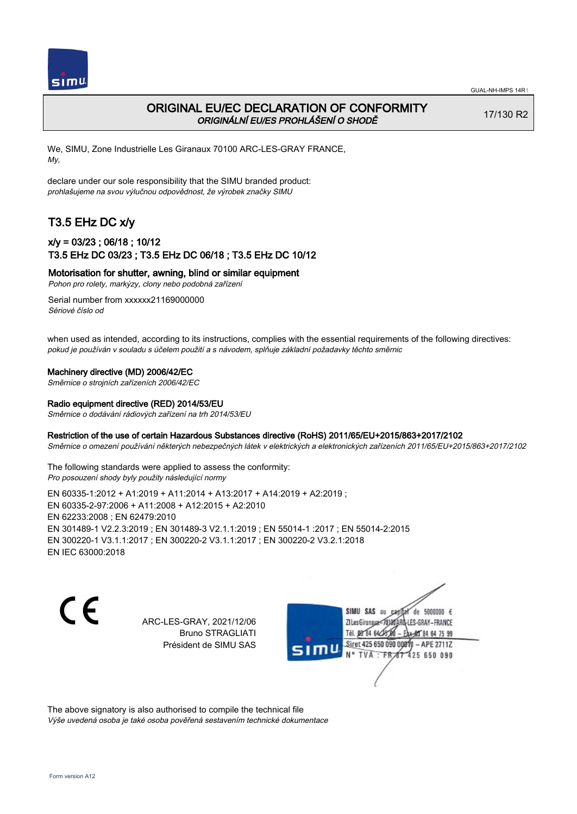

## ORIGINAL EU/EC DECLARATION OF CONFORMITY ORIGINÁLNÍ EU/ES PROHLÁŠENÍ O SHODĚ

17/130 R2

We, SIMU, Zone Industrielle Les Giranaux 70100 ARC-LES-GRAY FRANCE, My,

declare under our sole responsibility that the SIMU branded product: prohlašujeme na svou výlučnou odpovědnost, že výrobek značky SIMU

# T3.5 EHz DC x/y

## x/y = 03/23 ; 06/18 ; 10/12 T3.5 EHz DC 03/23 ; T3.5 EHz DC 06/18 ; T3.5 EHz DC 10/12

Motorisation for shutter, awning, blind or similar equipment

Pohon pro rolety, markýzy, clony nebo podobná zařízení

Serial number from xxxxxx21169000000 Sériové číslo od

when used as intended, according to its instructions, complies with the essential requirements of the following directives: pokud je používán v souladu s účelem použití a s návodem, splňuje základní požadavky těchto směrnic

#### Machinery directive (MD) 2006/42/EC

Směrnice o strojních zařízeních 2006/42/EC

#### Radio equipment directive (RED) 2014/53/EU

Směrnice o dodávání rádiových zařízení na trh 2014/53/EU

#### Restriction of the use of certain Hazardous Substances directive (RoHS) 2011/65/EU+2015/863+2017/2102

Směrnice o omezení používání některých nebezpečných látek v elektrických a elektronických zařízeních 2011/65/EU+2015/863+2017/2102

The following standards were applied to assess the conformity: Pro posouzení shody byly použity následující normy

EN 60335‑1:2012 + A1:2019 + A11:2014 + A13:2017 + A14:2019 + A2:2019 ; EN 60335‑2‑97:2006 + A11:2008 + A12:2015 + A2:2010 EN 62233:2008 ; EN 62479:2010 EN 301489‑1 V2.2.3:2019 ; EN 301489‑3 V2.1.1:2019 ; EN 55014‑1 :2017 ; EN 55014‑2:2015 EN 300220‑1 V3.1.1:2017 ; EN 300220‑2 V3.1.1:2017 ; EN 300220‑2 V3.2.1:2018 EN IEC 63000:2018

C F

ARC-LES-GRAY, 2021/12/06 Bruno STRAGLIATI Président de SIMU SAS

de 5000000  $\epsilon$ SIMU SAS au ZI Les Giranaux< LES-GRAY-FRANCE Tél. 08 R4 64 2 64 75 99 Siret 425 650 090 00811  $-$  APF 27117 125 650 090

The above signatory is also authorised to compile the technical file Výše uvedená osoba je také osoba pověřená sestavením technické dokumentace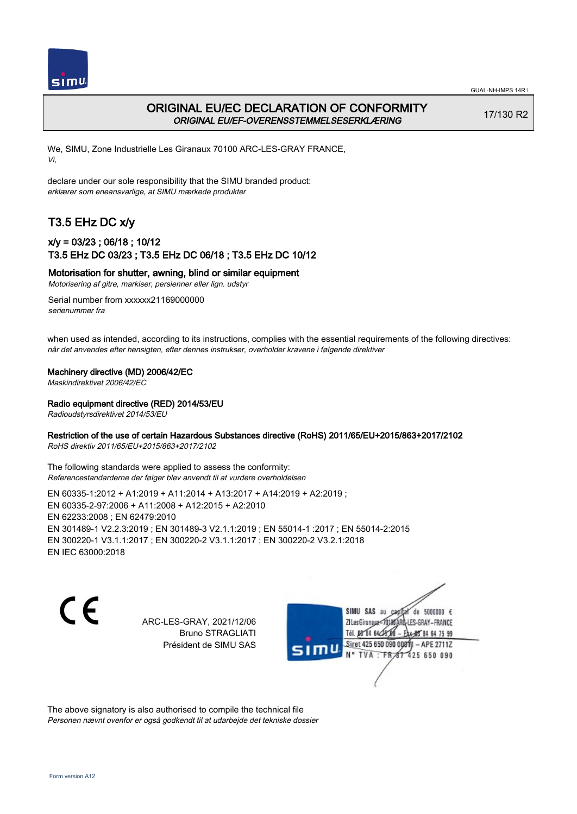



## ORIGINAL EU/EC DECLARATION OF CONFORMITY ORIGINAL EU/EF-OVERENSSTEMMELSESERKLÆRING

17/130 R2

We, SIMU, Zone Industrielle Les Giranaux 70100 ARC-LES-GRAY FRANCE, Vi,

declare under our sole responsibility that the SIMU branded product: erklærer som eneansvarlige, at SIMU mærkede produkter

## T3.5 EHz DC x/y

## x/y = 03/23 ; 06/18 ; 10/12 T3.5 EHz DC 03/23 ; T3.5 EHz DC 06/18 ; T3.5 EHz DC 10/12

Motorisation for shutter, awning, blind or similar equipment

Motorisering af gitre, markiser, persienner eller lign. udstyr

Serial number from xxxxxx21169000000 serienummer fra

when used as intended, according to its instructions, complies with the essential requirements of the following directives: når det anvendes efter hensigten, efter dennes instrukser, overholder kravene i følgende direktiver

Machinery directive (MD) 2006/42/EC

Maskindirektivet 2006/42/EC

Radio equipment directive (RED) 2014/53/EU

Radioudstyrsdirektivet 2014/53/EU

### Restriction of the use of certain Hazardous Substances directive (RoHS) 2011/65/EU+2015/863+2017/2102

RoHS direktiv 2011/65/EU+2015/863+2017/2102

The following standards were applied to assess the conformity: Referencestandarderne der følger blev anvendt til at vurdere overholdelsen

EN 60335‑1:2012 + A1:2019 + A11:2014 + A13:2017 + A14:2019 + A2:2019 ; EN 60335‑2‑97:2006 + A11:2008 + A12:2015 + A2:2010 EN 62233:2008 ; EN 62479:2010 EN 301489‑1 V2.2.3:2019 ; EN 301489‑3 V2.1.1:2019 ; EN 55014‑1 :2017 ; EN 55014‑2:2015 EN 300220‑1 V3.1.1:2017 ; EN 300220‑2 V3.1.1:2017 ; EN 300220‑2 V3.2.1:2018 EN IEC 63000:2018

 $\epsilon$ 

ARC-LES-GRAY, 2021/12/06 Bruno STRAGLIATI Président de SIMU SAS

de 5000000  $\epsilon$ SIMU SAS au ZI Les Giranaux< LES-GRAY-FRANCE Tél. 08 84 64 2 64 75 99 Siret 425 650 090 00811  $-$  APF 27117 125 650 090

The above signatory is also authorised to compile the technical file Personen nævnt ovenfor er også godkendt til at udarbejde det tekniske dossier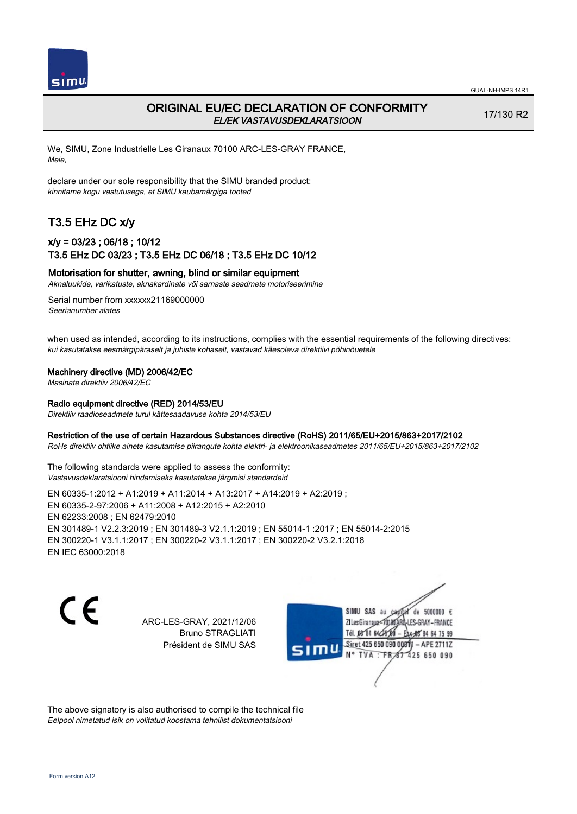

## ORIGINAL EU/EC DECLARATION OF CONFORMITY EL/EK VASTAVUSDEKLARATSIOON

17/130 R2

We, SIMU, Zone Industrielle Les Giranaux 70100 ARC-LES-GRAY FRANCE, Meie,

declare under our sole responsibility that the SIMU branded product: kinnitame kogu vastutusega, et SIMU kaubamärgiga tooted

# T3.5 EHz DC x/y

## x/y = 03/23 ; 06/18 ; 10/12 T3.5 EHz DC 03/23 ; T3.5 EHz DC 06/18 ; T3.5 EHz DC 10/12

### Motorisation for shutter, awning, blind or similar equipment

Aknaluukide, varikatuste, aknakardinate või sarnaste seadmete motoriseerimine

Serial number from xxxxxx21169000000 Seerianumber alates

when used as intended, according to its instructions, complies with the essential requirements of the following directives: kui kasutatakse eesmärgipäraselt ja juhiste kohaselt, vastavad käesoleva direktiivi põhinõuetele

#### Machinery directive (MD) 2006/42/EC

Masinate direktiiv 2006/42/EC

#### Radio equipment directive (RED) 2014/53/EU

Direktiiv raadioseadmete turul kättesaadavuse kohta 2014/53/EU

#### Restriction of the use of certain Hazardous Substances directive (RoHS) 2011/65/EU+2015/863+2017/2102

RoHs direktiiv ohtlike ainete kasutamise piirangute kohta elektri- ja elektroonikaseadmetes 2011/65/EU+2015/863+2017/2102

The following standards were applied to assess the conformity: Vastavusdeklaratsiooni hindamiseks kasutatakse järgmisi standardeid

EN 60335‑1:2012 + A1:2019 + A11:2014 + A13:2017 + A14:2019 + A2:2019 ; EN 60335‑2‑97:2006 + A11:2008 + A12:2015 + A2:2010 EN 62233:2008 ; EN 62479:2010 EN 301489‑1 V2.2.3:2019 ; EN 301489‑3 V2.1.1:2019 ; EN 55014‑1 :2017 ; EN 55014‑2:2015 EN 300220‑1 V3.1.1:2017 ; EN 300220‑2 V3.1.1:2017 ; EN 300220‑2 V3.2.1:2018 EN IEC 63000:2018

 $\epsilon$ 

ARC-LES-GRAY, 2021/12/06 Bruno STRAGLIATI Président de SIMU SAS

de 5000000  $\epsilon$ SIMU SAS au ZI Les Giranaux<sup>2</sup> ES-GRAY-FRANCE Tél. 08 84 64 2 64 75 99 Siret 425 650 090 00811  $-$  APF 27117 125 650 090

The above signatory is also authorised to compile the technical file Eelpool nimetatud isik on volitatud koostama tehnilist dokumentatsiooni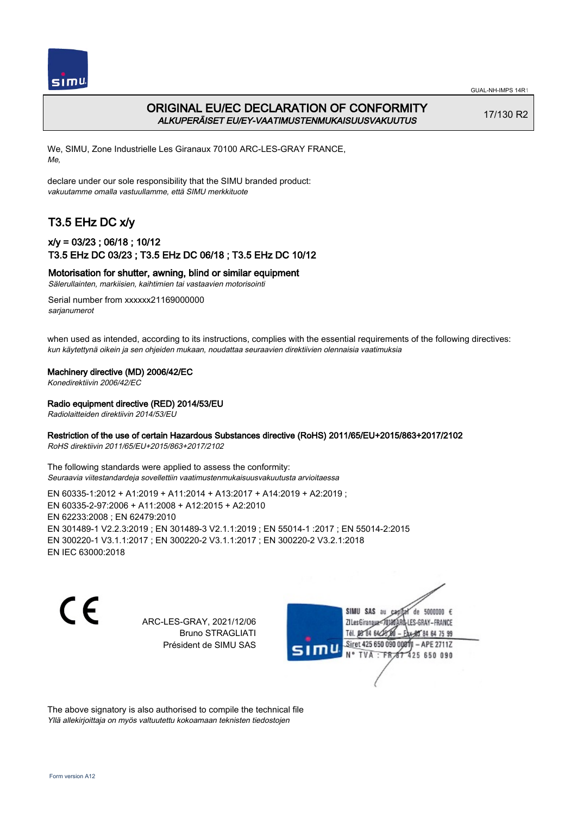

## ORIGINAL EU/EC DECLARATION OF CONFORMITY ALKUPERÄISET EU/EY-VAATIMUSTENMUKAISUUSVAKUUTUS

17/130 R2

We, SIMU, Zone Industrielle Les Giranaux 70100 ARC-LES-GRAY FRANCE, Me,

declare under our sole responsibility that the SIMU branded product: vakuutamme omalla vastuullamme, että SIMU merkkituote

# T3.5 EHz DC x/y

## x/y = 03/23 ; 06/18 ; 10/12 T3.5 EHz DC 03/23 ; T3.5 EHz DC 06/18 ; T3.5 EHz DC 10/12

Motorisation for shutter, awning, blind or similar equipment

Sälerullainten, markiisien, kaihtimien tai vastaavien motorisointi

Serial number from xxxxxx21169000000 sarianumerot

when used as intended, according to its instructions, complies with the essential requirements of the following directives: kun käytettynä oikein ja sen ohjeiden mukaan, noudattaa seuraavien direktiivien olennaisia vaatimuksia

#### Machinery directive (MD) 2006/42/EC

Konedirektiivin 2006/42/EC

#### Radio equipment directive (RED) 2014/53/EU

Radiolaitteiden direktiivin 2014/53/EU

### Restriction of the use of certain Hazardous Substances directive (RoHS) 2011/65/EU+2015/863+2017/2102

RoHS direktiivin 2011/65/EU+2015/863+2017/2102

The following standards were applied to assess the conformity: Seuraavia viitestandardeja sovellettiin vaatimustenmukaisuusvakuutusta arvioitaessa

EN 60335‑1:2012 + A1:2019 + A11:2014 + A13:2017 + A14:2019 + A2:2019 ; EN 60335‑2‑97:2006 + A11:2008 + A12:2015 + A2:2010 EN 62233:2008 ; EN 62479:2010 EN 301489‑1 V2.2.3:2019 ; EN 301489‑3 V2.1.1:2019 ; EN 55014‑1 :2017 ; EN 55014‑2:2015 EN 300220‑1 V3.1.1:2017 ; EN 300220‑2 V3.1.1:2017 ; EN 300220‑2 V3.2.1:2018 EN IEC 63000:2018

 $\epsilon$ 

ARC-LES-GRAY, 2021/12/06 Bruno STRAGLIATI Président de SIMU SAS

de 5000000  $\epsilon$ SIMU SAS au ZI Les Giranaux< ES-GRAY-FRANCE Tél. 08 84 64 2 64 75 99 Siret 425 650 090 00811  $-$  APF 27117 125 650 090

The above signatory is also authorised to compile the technical file Yllä allekirjoittaja on myös valtuutettu kokoamaan teknisten tiedostojen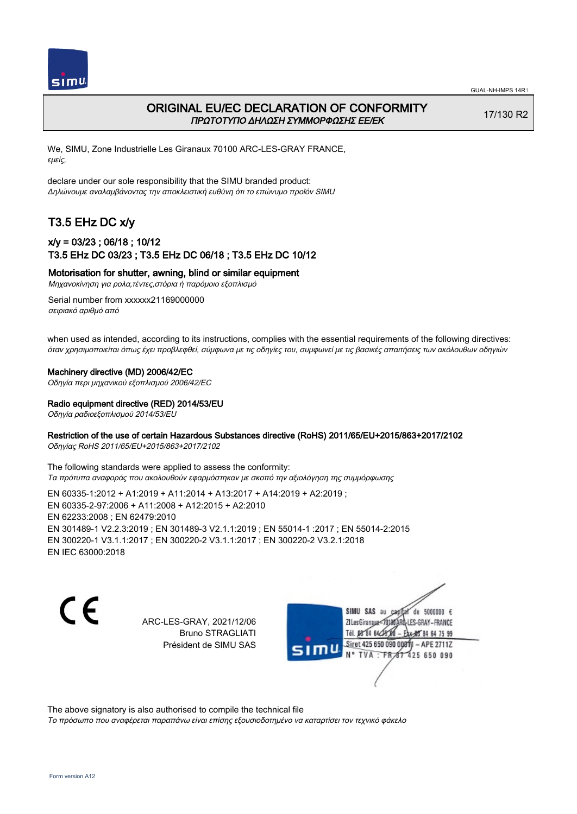

## ORIGINAL EU/EC DECLARATION OF CONFORMITY ΠΡΩΤΟΤΥΠΟ ΔΗΛΩΣΗ ΣΥΜΜΟΡΦΩΣΗΣ ΕΕ/EK

17/130 R2

We, SIMU, Zone Industrielle Les Giranaux 70100 ARC-LES-GRAY FRANCE, εμείς,

declare under our sole responsibility that the SIMU branded product: Δηλώνουμε αναλαμβάνοντας την αποκλειστική ευθύνη ότι το επώνυμο προϊόν SIMU

# T3.5 EHz DC x/y

## x/y = 03/23 ; 06/18 ; 10/12 T3.5 EHz DC 03/23 ; T3.5 EHz DC 06/18 ; T3.5 EHz DC 10/12

Motorisation for shutter, awning, blind or similar equipment

Μηχανοκίνηση για ρολα,τέντες,στόρια ή παρόμοιο εξοπλισμό

Serial number from xxxxxx21169000000 σειριακό αριθμό από

when used as intended, according to its instructions, complies with the essential requirements of the following directives: όταν χρησιμοποιείται όπως έχει προβλεφθεί, σύμφωνα με τις οδηγίες του, συμφωνεί με τις βασικές απαιτήσεις των ακόλουθων οδηγιών

#### Machinery directive (MD) 2006/42/EC

Οδηγία περι μηχανικού εξοπλισμού 2006/42/EC

## Radio equipment directive (RED) 2014/53/EU

Οδηγία ραδιοεξοπλισμού 2014/53/EU

### Restriction of the use of certain Hazardous Substances directive (RoHS) 2011/65/EU+2015/863+2017/2102

Οδηγίας RoHS 2011/65/EU+2015/863+2017/2102

The following standards were applied to assess the conformity: Τα πρότυπα αναφοράς που ακολουθούν εφαρμόστηκαν με σκοπό την αξιολόγηση της συμμόρφωσης

EN 60335‑1:2012 + A1:2019 + A11:2014 + A13:2017 + A14:2019 + A2:2019 ; EN 60335‑2‑97:2006 + A11:2008 + A12:2015 + A2:2010 EN 62233:2008 ; EN 62479:2010 EN 301489‑1 V2.2.3:2019 ; EN 301489‑3 V2.1.1:2019 ; EN 55014‑1 :2017 ; EN 55014‑2:2015 EN 300220‑1 V3.1.1:2017 ; EN 300220‑2 V3.1.1:2017 ; EN 300220‑2 V3.2.1:2018 EN IEC 63000:2018

C F

ARC-LES-GRAY, 2021/12/06 Bruno STRAGLIATI Président de SIMU SAS

de 5000000  $\epsilon$ SIMU SAS au ZI Les Giranaux-70180 LES-GRAY-FRANCE THE DR R4 64/28 64 75 99 Siret 425 650 090 00811  $-$  APF 27117 125 650 090

The above signatory is also authorised to compile the technical file

Το πρόσωπο που αναφέρεται παραπάνω είναι επίσης εξουσιοδοτημένο να καταρτίσει τον τεχνικό φάκελο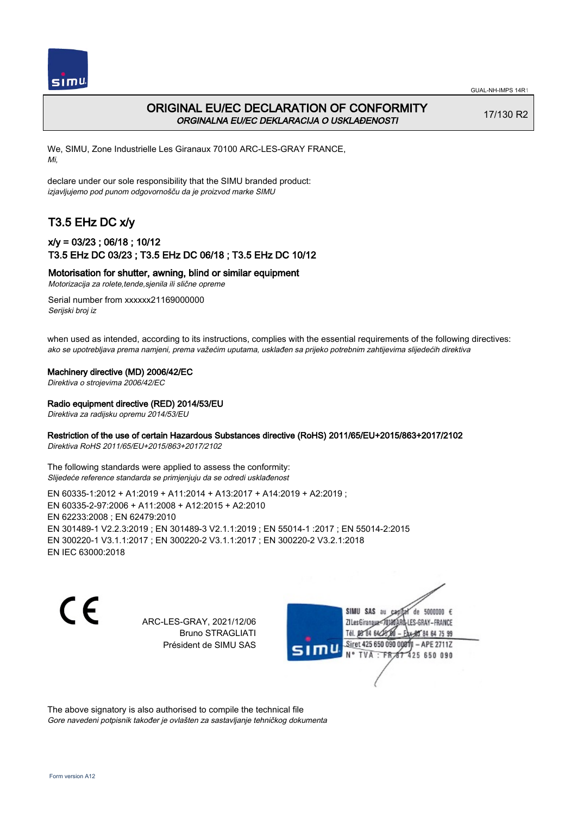

## ORIGINAL EU/EC DECLARATION OF CONFORMITY ORGINALNA EU/EC DEKLARACIJA O USKLAĐENOSTI

17/130 R2

We, SIMU, Zone Industrielle Les Giranaux 70100 ARC-LES-GRAY FRANCE, Mi,

declare under our sole responsibility that the SIMU branded product: izjavljujemo pod punom odgovornošču da je proizvod marke SIMU

# T3.5 EHz DC x/y

## x/y = 03/23 ; 06/18 ; 10/12 T3.5 EHz DC 03/23 ; T3.5 EHz DC 06/18 ; T3.5 EHz DC 10/12

Motorisation for shutter, awning, blind or similar equipment

Motorizacija za rolete,tende,sjenila ili slične opreme

Serial number from xxxxxx21169000000 Serijski broj iz

when used as intended, according to its instructions, complies with the essential requirements of the following directives: ako se upotrebljava prema namjeni, prema važećim uputama, usklađen sa prijeko potrebnim zahtijevima slijedećih direktiva

Machinery directive (MD) 2006/42/EC

Direktiva o strojevima 2006/42/EC

Radio equipment directive (RED) 2014/53/EU

Direktiva za radijsku opremu 2014/53/EU

### Restriction of the use of certain Hazardous Substances directive (RoHS) 2011/65/EU+2015/863+2017/2102

Direktiva RoHS 2011/65/EU+2015/863+2017/2102

The following standards were applied to assess the conformity: Slijedeće reference standarda se primjenjuju da se odredi usklađenost

EN 60335‑1:2012 + A1:2019 + A11:2014 + A13:2017 + A14:2019 + A2:2019 ; EN 60335‑2‑97:2006 + A11:2008 + A12:2015 + A2:2010 EN 62233:2008 ; EN 62479:2010 EN 301489‑1 V2.2.3:2019 ; EN 301489‑3 V2.1.1:2019 ; EN 55014‑1 :2017 ; EN 55014‑2:2015 EN 300220‑1 V3.1.1:2017 ; EN 300220‑2 V3.1.1:2017 ; EN 300220‑2 V3.2.1:2018 EN IEC 63000:2018

C F

ARC-LES-GRAY, 2021/12/06 Bruno STRAGLIATI Président de SIMU SAS

de 5000000  $\epsilon$ SIMU SAS au ZI Les Giranaux< LES-GRAY-FRANCE Tél. 08 R4 64 2 64 75 99 Siret 425 650 090 00811  $-$  APF 27117 125 650 090

The above signatory is also authorised to compile the technical file Gore navedeni potpisnik također je ovlašten za sastavljanje tehničkog dokumenta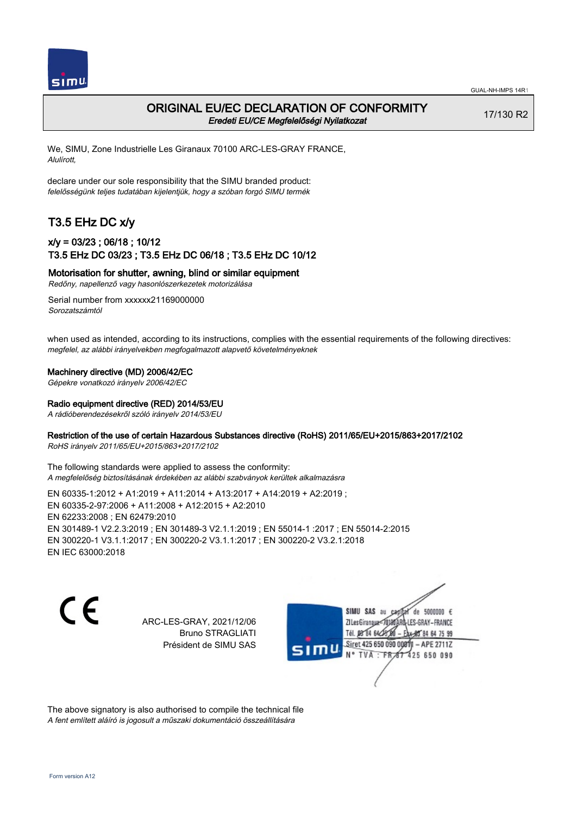

## ORIGINAL EU/EC DECLARATION OF CONFORMITY Eredeti EU/CE Megfelelőségi Nyilatkozat

17/130 R2

We, SIMU, Zone Industrielle Les Giranaux 70100 ARC-LES-GRAY FRANCE, Alulírott,

declare under our sole responsibility that the SIMU branded product: felelősségünk teljes tudatában kijelentjük, hogy a szóban forgó SIMU termék

# T3.5 EHz DC x/y

### x/y = 03/23 ; 06/18 ; 10/12 T3.5 EHz DC 03/23 ; T3.5 EHz DC 06/18 ; T3.5 EHz DC 10/12

Motorisation for shutter, awning, blind or similar equipment

Redőny, napellenző vagy hasonlószerkezetek motorizálása

Serial number from xxxxxx21169000000 Sorozatszámtól

when used as intended, according to its instructions, complies with the essential requirements of the following directives: megfelel, az alábbi irányelvekben megfogalmazott alapvető követelményeknek

#### Machinery directive (MD) 2006/42/EC

Gépekre vonatkozó irányelv 2006/42/EC

#### Radio equipment directive (RED) 2014/53/EU

A rádióberendezésekről szóló irányelv 2014/53/EU

### Restriction of the use of certain Hazardous Substances directive (RoHS) 2011/65/EU+2015/863+2017/2102

RoHS irányelv 2011/65/EU+2015/863+2017/2102

The following standards were applied to assess the conformity: A megfelelőség biztosításának érdekében az alábbi szabványok kerültek alkalmazásra

EN 60335‑1:2012 + A1:2019 + A11:2014 + A13:2017 + A14:2019 + A2:2019 ; EN 60335‑2‑97:2006 + A11:2008 + A12:2015 + A2:2010 EN 62233:2008 ; EN 62479:2010 EN 301489‑1 V2.2.3:2019 ; EN 301489‑3 V2.1.1:2019 ; EN 55014‑1 :2017 ; EN 55014‑2:2015 EN 300220‑1 V3.1.1:2017 ; EN 300220‑2 V3.1.1:2017 ; EN 300220‑2 V3.2.1:2018 EN IEC 63000:2018

C F

ARC-LES-GRAY, 2021/12/06 Bruno STRAGLIATI Président de SIMU SAS

de 5000000  $\epsilon$ SIMU SAS au ZI Les Giranaux< LES-GRAY-FRANCE Tél. 08 84 64 2 64 75 99 Siret 425 650 090 00811  $-$  APF 27117 125 650 090

The above signatory is also authorised to compile the technical file A fent említett aláíró is jogosult a műszaki dokumentáció összeállítására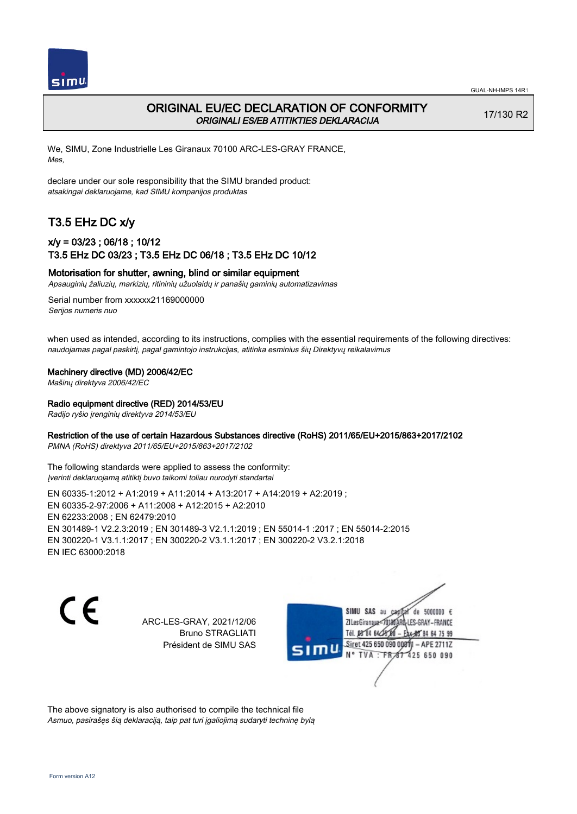

## ORIGINAL EU/EC DECLARATION OF CONFORMITY ORIGINALI ES/EB ATITIKTIES DEKLARACIJA

17/130 R2

We, SIMU, Zone Industrielle Les Giranaux 70100 ARC-LES-GRAY FRANCE, Mes,

declare under our sole responsibility that the SIMU branded product: atsakingai deklaruojame, kad SIMU kompanijos produktas

# T3.5 EHz DC x/y

## x/y = 03/23 ; 06/18 ; 10/12 T3.5 EHz DC 03/23 ; T3.5 EHz DC 06/18 ; T3.5 EHz DC 10/12

### Motorisation for shutter, awning, blind or similar equipment

Apsauginių žaliuzių, markizių, ritininių užuolaidų ir panašių gaminių automatizavimas

Serial number from xxxxxx21169000000 Serijos numeris nuo

when used as intended, according to its instructions, complies with the essential requirements of the following directives: naudojamas pagal paskirtį, pagal gamintojo instrukcijas, atitinka esminius šių Direktyvų reikalavimus

Machinery directive (MD) 2006/42/EC

Mašinų direktyva 2006/42/EC

### Radio equipment directive (RED) 2014/53/EU

Radijo ryšio įrenginių direktyva 2014/53/EU

#### Restriction of the use of certain Hazardous Substances directive (RoHS) 2011/65/EU+2015/863+2017/2102

PMNA (RoHS) direktyva 2011/65/EU+2015/863+2017/2102

The following standards were applied to assess the conformity: Įverinti deklaruojamą atitiktį buvo taikomi toliau nurodyti standartai

EN 60335‑1:2012 + A1:2019 + A11:2014 + A13:2017 + A14:2019 + A2:2019 ; EN 60335‑2‑97:2006 + A11:2008 + A12:2015 + A2:2010 EN 62233:2008 ; EN 62479:2010 EN 301489‑1 V2.2.3:2019 ; EN 301489‑3 V2.1.1:2019 ; EN 55014‑1 :2017 ; EN 55014‑2:2015 EN 300220‑1 V3.1.1:2017 ; EN 300220‑2 V3.1.1:2017 ; EN 300220‑2 V3.2.1:2018 EN IEC 63000:2018

C F

ARC-LES-GRAY, 2021/12/06 Bruno STRAGLIATI Président de SIMU SAS

de 5000000  $\epsilon$ SIMU SAS au ZI Les Giranaux-70180 LES-GRAY-FRANCE Tél. 08 R4 64 24 64 75 99 Siret 425 650 090 0081  $-$  APF 27117 **TVA · FR** 125 650 090

The above signatory is also authorised to compile the technical file Asmuo, pasirašęs šią deklaraciją, taip pat turi įgaliojimą sudaryti techninę bylą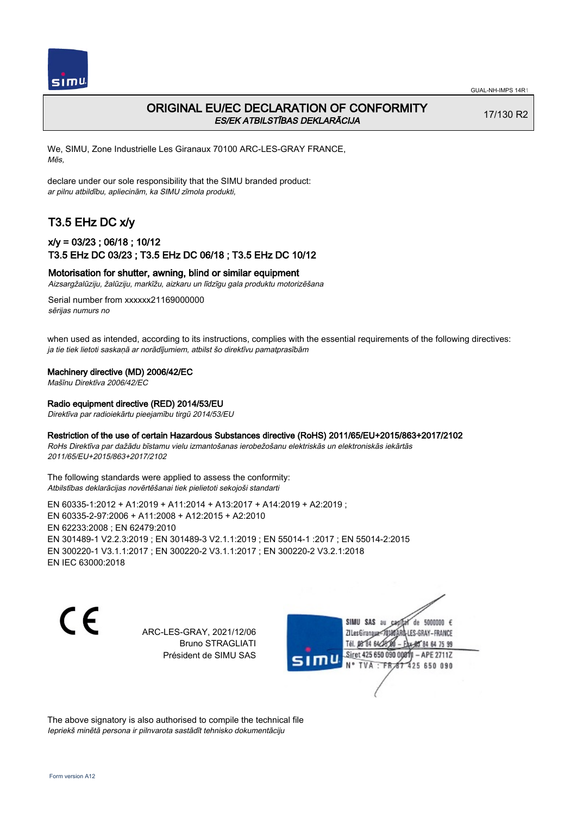

## ORIGINAL EU/EC DECLARATION OF CONFORMITY ES/EK ATBILSTĪBAS DEKLARĀCIJA

17/130 R2

We, SIMU, Zone Industrielle Les Giranaux 70100 ARC-LES-GRAY FRANCE, Mēs,

declare under our sole responsibility that the SIMU branded product: ar pilnu atbildību, apliecinām, ka SIMU zīmola produkti,

# T3.5 EHz DC x/y

## x/y = 03/23 ; 06/18 ; 10/12 T3.5 EHz DC 03/23 ; T3.5 EHz DC 06/18 ; T3.5 EHz DC 10/12

### Motorisation for shutter, awning, blind or similar equipment

Aizsargžalūziju, žalūziju, markīžu, aizkaru un līdzīgu gala produktu motorizēšana

Serial number from xxxxxx21169000000 sērijas numurs no

when used as intended, according to its instructions, complies with the essential requirements of the following directives: ja tie tiek lietoti saskaņā ar norādījumiem, atbilst šo direktīvu pamatprasībām

#### Machinery directive (MD) 2006/42/EC

Mašīnu Direktīva 2006/42/EC

#### Radio equipment directive (RED) 2014/53/EU

Direktīva par radioiekārtu pieejamību tirgū 2014/53/EU

#### Restriction of the use of certain Hazardous Substances directive (RoHS) 2011/65/EU+2015/863+2017/2102

RoHs Direktīva par dažādu bīstamu vielu izmantošanas ierobežošanu elektriskās un elektroniskās iekārtās 2011/65/EU+2015/863+2017/2102

The following standards were applied to assess the conformity: Atbilstības deklarācijas novērtēšanai tiek pielietoti sekojoši standarti

EN 60335‑1:2012 + A1:2019 + A11:2014 + A13:2017 + A14:2019 + A2:2019 ; EN 60335‑2‑97:2006 + A11:2008 + A12:2015 + A2:2010 EN 62233:2008 ; EN 62479:2010 EN 301489‑1 V2.2.3:2019 ; EN 301489‑3 V2.1.1:2019 ; EN 55014‑1 :2017 ; EN 55014‑2:2015 EN 300220‑1 V3.1.1:2017 ; EN 300220‑2 V3.1.1:2017 ; EN 300220‑2 V3.2.1:2018 EN IEC 63000:2018

 $\epsilon$ 

ARC-LES-GRAY, 2021/12/06 Bruno STRAGLIATI Président de SIMU SAS



The above signatory is also authorised to compile the technical file Iepriekš minētā persona ir pilnvarota sastādīt tehnisko dokumentāciju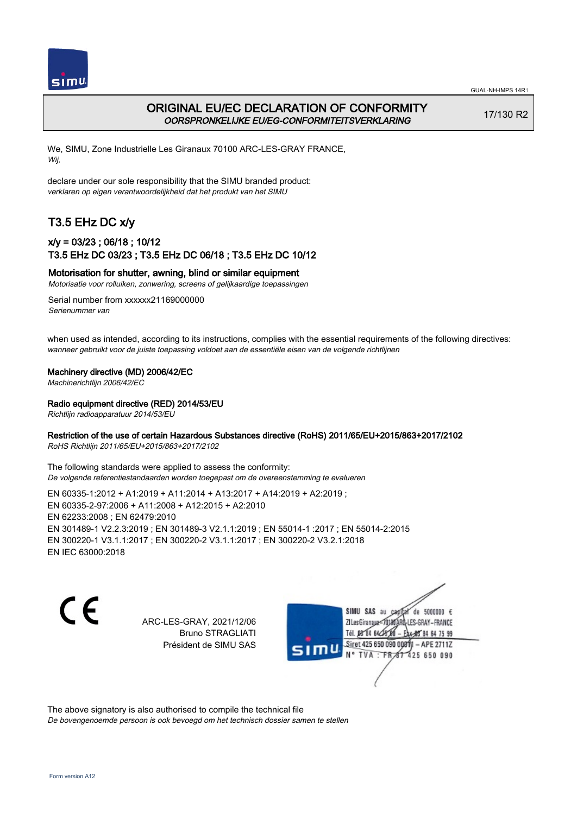

## ORIGINAL EU/EC DECLARATION OF CONFORMITY OORSPRONKELIJKE EU/EG-CONFORMITEITSVERKLARING

17/130 R2

We, SIMU, Zone Industrielle Les Giranaux 70100 ARC-LES-GRAY FRANCE, Wij,

declare under our sole responsibility that the SIMU branded product: verklaren op eigen verantwoordelijkheid dat het produkt van het SIMU

# T3.5 EHz DC x/y

## x/y = 03/23 ; 06/18 ; 10/12 T3.5 EHz DC 03/23 ; T3.5 EHz DC 06/18 ; T3.5 EHz DC 10/12

#### Motorisation for shutter, awning, blind or similar equipment

Motorisatie voor rolluiken, zonwering, screens of gelijkaardige toepassingen

Serial number from xxxxxx21169000000 Serienummer van

when used as intended, according to its instructions, complies with the essential requirements of the following directives: wanneer gebruikt voor de juiste toepassing voldoet aan de essentiële eisen van de volgende richtlijnen

#### Machinery directive (MD) 2006/42/EC

Machinerichtlijn 2006/42/EC

#### Radio equipment directive (RED) 2014/53/EU

Richtlijn radioapparatuur 2014/53/EU

### Restriction of the use of certain Hazardous Substances directive (RoHS) 2011/65/EU+2015/863+2017/2102

RoHS Richtlijn 2011/65/EU+2015/863+2017/2102

The following standards were applied to assess the conformity: De volgende referentiestandaarden worden toegepast om de overeenstemming te evalueren

EN 60335‑1:2012 + A1:2019 + A11:2014 + A13:2017 + A14:2019 + A2:2019 ; EN 60335‑2‑97:2006 + A11:2008 + A12:2015 + A2:2010 EN 62233:2008 ; EN 62479:2010 EN 301489‑1 V2.2.3:2019 ; EN 301489‑3 V2.1.1:2019 ; EN 55014‑1 :2017 ; EN 55014‑2:2015 EN 300220‑1 V3.1.1:2017 ; EN 300220‑2 V3.1.1:2017 ; EN 300220‑2 V3.2.1:2018 EN IEC 63000:2018

C F

ARC-LES-GRAY, 2021/12/06 Bruno STRAGLIATI Président de SIMU SAS

de 5000000  $\epsilon$ SIMU SAS au ZI Les Giranaux< LES-GRAY-FRANCE Tél. 08 R4 64 2 64 75 99 Siret 425 650 090 00811  $-$  APF 27117 125 650 090

The above signatory is also authorised to compile the technical file De bovengenoemde persoon is ook bevoegd om het technisch dossier samen te stellen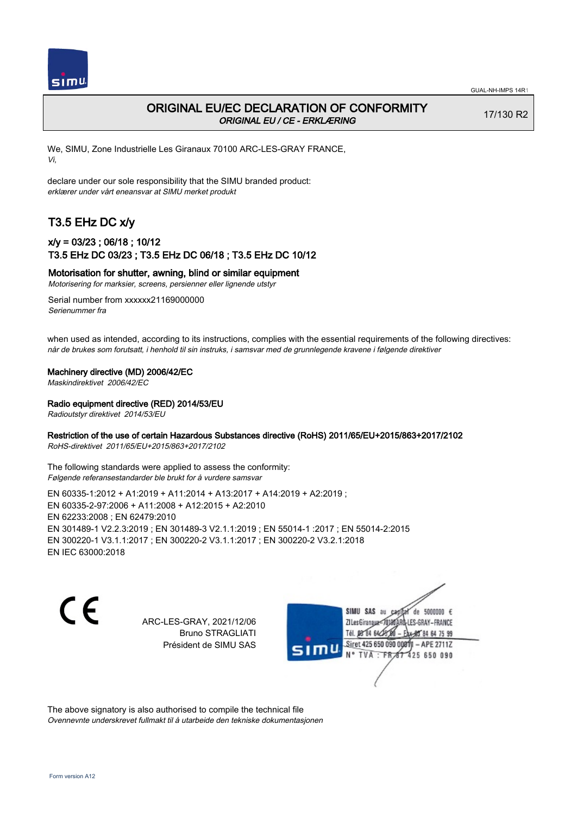

17/130 R2

## ORIGINAL EU/EC DECLARATION OF CONFORMITY ORIGINAL EU / CE - ERKLÆRING

We, SIMU, Zone Industrielle Les Giranaux 70100 ARC-LES-GRAY FRANCE, Vi,

declare under our sole responsibility that the SIMU branded product: erklærer under vårt eneansvar at SIMU merket produkt

# T3.5 EHz DC x/y

## x/y = 03/23 ; 06/18 ; 10/12 T3.5 EHz DC 03/23 ; T3.5 EHz DC 06/18 ; T3.5 EHz DC 10/12

Motorisation for shutter, awning, blind or similar equipment

Motorisering for marksier, screens, persienner eller lignende utstyr

Serial number from xxxxxx21169000000 Serienummer fra

when used as intended, according to its instructions, complies with the essential requirements of the following directives: når de brukes som forutsatt, i henhold til sin instruks, i samsvar med de grunnlegende kravene i følgende direktiver

### Machinery directive (MD) 2006/42/EC

Maskindirektivet 2006/42/EC

Radio equipment directive (RED) 2014/53/EU

Radioutstyr direktivet 2014/53/EU

### Restriction of the use of certain Hazardous Substances directive (RoHS) 2011/65/EU+2015/863+2017/2102

RoHS-direktivet 2011/65/EU+2015/863+2017/2102

The following standards were applied to assess the conformity: Følgende referansestandarder ble brukt for å vurdere samsvar

EN 60335‑1:2012 + A1:2019 + A11:2014 + A13:2017 + A14:2019 + A2:2019 ; EN 60335‑2‑97:2006 + A11:2008 + A12:2015 + A2:2010 EN 62233:2008 ; EN 62479:2010 EN 301489‑1 V2.2.3:2019 ; EN 301489‑3 V2.1.1:2019 ; EN 55014‑1 :2017 ; EN 55014‑2:2015 EN 300220‑1 V3.1.1:2017 ; EN 300220‑2 V3.1.1:2017 ; EN 300220‑2 V3.2.1:2018 EN IEC 63000:2018

CE

ARC-LES-GRAY, 2021/12/06 Bruno STRAGLIATI Président de SIMU SAS

de 5000000  $\epsilon$ SIMU SAS au ZI Les Giranaux< LES-GRAY-FRANCE Tél. 08 84 64 2 64 75 99 Siret 425 650 090 00811  $-$  APF 27117 125 650 090

The above signatory is also authorised to compile the technical file Ovennevnte underskrevet fullmakt til å utarbeide den tekniske dokumentasjonen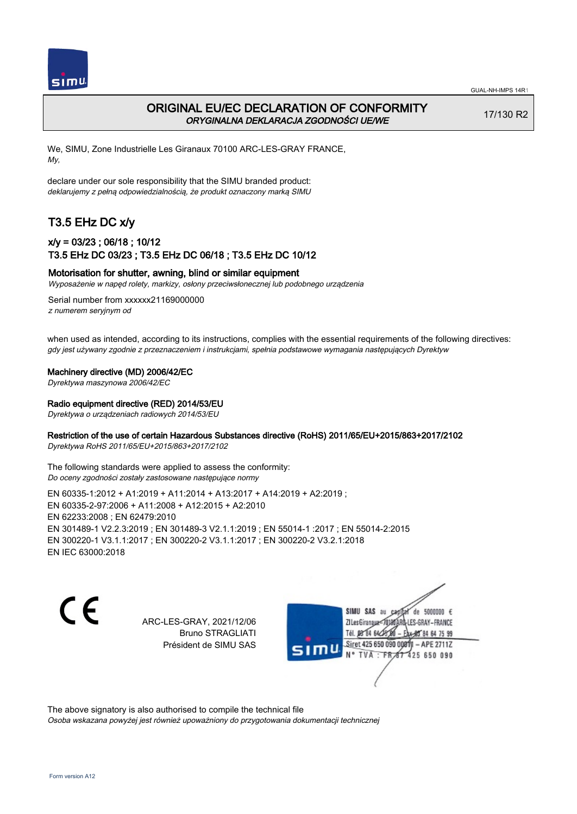

## ORIGINAL EU/EC DECLARATION OF CONFORMITY ORYGINALNA DEKLARACJA ZGODNOŚCI UE/WE

17/130 R2

We, SIMU, Zone Industrielle Les Giranaux 70100 ARC-LES-GRAY FRANCE, My,

declare under our sole responsibility that the SIMU branded product: deklarujemy z pełną odpowiedzialnością, że produkt oznaczony marką SIMU

# T3.5 EHz DC x/y

## x/y = 03/23 ; 06/18 ; 10/12 T3.5 EHz DC 03/23 ; T3.5 EHz DC 06/18 ; T3.5 EHz DC 10/12

### Motorisation for shutter, awning, blind or similar equipment

Wyposażenie w napęd rolety, markizy, osłony przeciwsłonecznej lub podobnego urządzenia

Serial number from xxxxxx21169000000 z numerem seryjnym od

when used as intended, according to its instructions, complies with the essential requirements of the following directives: gdy jest używany zgodnie z przeznaczeniem i instrukcjami, spełnia podstawowe wymagania następujących Dyrektyw

Machinery directive (MD) 2006/42/EC

Dyrektywa maszynowa 2006/42/EC

#### Radio equipment directive (RED) 2014/53/EU

Dyrektywa o urządzeniach radiowych 2014/53/EU

#### Restriction of the use of certain Hazardous Substances directive (RoHS) 2011/65/EU+2015/863+2017/2102

Dyrektywa RoHS 2011/65/EU+2015/863+2017/2102

The following standards were applied to assess the conformity: Do oceny zgodności zostały zastosowane następujące normy

EN 60335‑1:2012 + A1:2019 + A11:2014 + A13:2017 + A14:2019 + A2:2019 ; EN 60335‑2‑97:2006 + A11:2008 + A12:2015 + A2:2010 EN 62233:2008 ; EN 62479:2010 EN 301489‑1 V2.2.3:2019 ; EN 301489‑3 V2.1.1:2019 ; EN 55014‑1 :2017 ; EN 55014‑2:2015 EN 300220‑1 V3.1.1:2017 ; EN 300220‑2 V3.1.1:2017 ; EN 300220‑2 V3.2.1:2018 EN IEC 63000:2018

C F

ARC-LES-GRAY, 2021/12/06 Bruno STRAGLIATI Président de SIMU SAS

de 5000000  $\epsilon$ SIMU SAS au ZI Les Giranaux-70180 LES-GRAY-FRANCE Tél. 08 R4 64 2 64 75 99 Siret 425 650 090 00811  $-$  APF 27117 125 650 090

The above signatory is also authorised to compile the technical file Osoba wskazana powyżej jest również upoważniony do przygotowania dokumentacji technicznej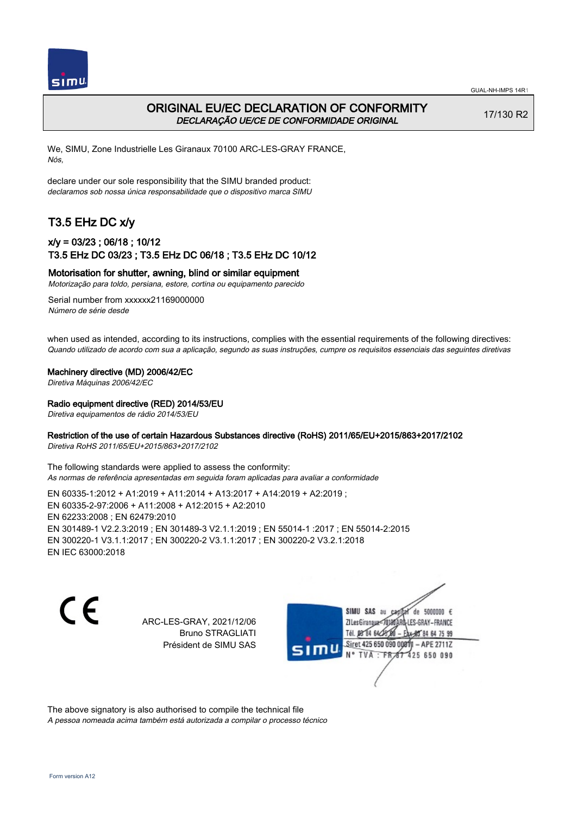

## ORIGINAL EU/EC DECLARATION OF CONFORMITY DECLARAÇÃO UE/CE DE CONFORMIDADE ORIGINAL

17/130 R2

We, SIMU, Zone Industrielle Les Giranaux 70100 ARC-LES-GRAY FRANCE, Nós,

declare under our sole responsibility that the SIMU branded product: declaramos sob nossa única responsabilidade que o dispositivo marca SIMU

# T3.5 EHz DC x/y

### x/y = 03/23 ; 06/18 ; 10/12 T3.5 EHz DC 03/23 ; T3.5 EHz DC 06/18 ; T3.5 EHz DC 10/12

#### Motorisation for shutter, awning, blind or similar equipment

Motorização para toldo, persiana, estore, cortina ou equipamento parecido

Serial number from xxxxxx21169000000 Número de série desde

when used as intended, according to its instructions, complies with the essential requirements of the following directives: Quando utilizado de acordo com sua a aplicação, segundo as suas instruções, cumpre os requisitos essenciais das seguintes diretivas

Machinery directive (MD) 2006/42/EC

Diretiva Máquinas 2006/42/EC

#### Radio equipment directive (RED) 2014/53/EU

Diretiva equipamentos de rádio 2014/53/EU

### Restriction of the use of certain Hazardous Substances directive (RoHS) 2011/65/EU+2015/863+2017/2102

Diretiva RoHS 2011/65/EU+2015/863+2017/2102

The following standards were applied to assess the conformity: As normas de referência apresentadas em seguida foram aplicadas para avaliar a conformidade

EN 60335‑1:2012 + A1:2019 + A11:2014 + A13:2017 + A14:2019 + A2:2019 ; EN 60335‑2‑97:2006 + A11:2008 + A12:2015 + A2:2010 EN 62233:2008 ; EN 62479:2010 EN 301489‑1 V2.2.3:2019 ; EN 301489‑3 V2.1.1:2019 ; EN 55014‑1 :2017 ; EN 55014‑2:2015 EN 300220‑1 V3.1.1:2017 ; EN 300220‑2 V3.1.1:2017 ; EN 300220‑2 V3.2.1:2018 EN IEC 63000:2018

C F

ARC-LES-GRAY, 2021/12/06 Bruno STRAGLIATI Président de SIMU SAS

de 5000000  $\epsilon$ SIMU SAS au ZI Les Giranaux< ES-GRAY-FRANCE Tél. 08 84 64 2 64 75 99 Siret 425 650 090 00811  $-$  APF 27117 125 650 090

The above signatory is also authorised to compile the technical file A pessoa nomeada acima também está autorizada a compilar o processo técnico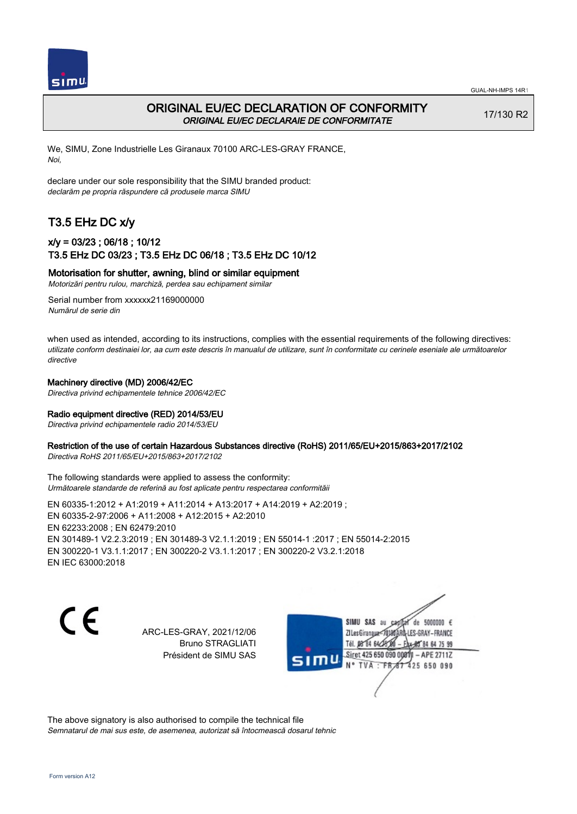

## ORIGINAL EU/EC DECLARATION OF CONFORMITY ORIGINAL EU/EC DECLARAIE DE CONFORMITATE

17/130 R2

We, SIMU, Zone Industrielle Les Giranaux 70100 ARC-LES-GRAY FRANCE, Noi,

declare under our sole responsibility that the SIMU branded product: declarăm pe propria răspundere că produsele marca SIMU

# T3.5 EHz DC x/y

## x/y = 03/23 ; 06/18 ; 10/12 T3.5 EHz DC 03/23 ; T3.5 EHz DC 06/18 ; T3.5 EHz DC 10/12

#### Motorisation for shutter, awning, blind or similar equipment

Motorizări pentru rulou, marchiză, perdea sau echipament similar

Serial number from xxxxxx21169000000 Numărul de serie din

when used as intended, according to its instructions, complies with the essential requirements of the following directives: utilizate conform destinaiei lor, aa cum este descris în manualul de utilizare, sunt în conformitate cu cerinele eseniale ale următoarelor directive

#### Machinery directive (MD) 2006/42/EC

Directiva privind echipamentele tehnice 2006/42/EC

#### Radio equipment directive (RED) 2014/53/EU

Directiva privind echipamentele radio 2014/53/EU

#### Restriction of the use of certain Hazardous Substances directive (RoHS) 2011/65/EU+2015/863+2017/2102

Directiva RoHS 2011/65/EU+2015/863+2017/2102

The following standards were applied to assess the conformity: Următoarele standarde de referină au fost aplicate pentru respectarea conformităii

EN 60335‑1:2012 + A1:2019 + A11:2014 + A13:2017 + A14:2019 + A2:2019 ; EN 60335‑2‑97:2006 + A11:2008 + A12:2015 + A2:2010 EN 62233:2008 ; EN 62479:2010 EN 301489‑1 V2.2.3:2019 ; EN 301489‑3 V2.1.1:2019 ; EN 55014‑1 :2017 ; EN 55014‑2:2015 EN 300220‑1 V3.1.1:2017 ; EN 300220‑2 V3.1.1:2017 ; EN 300220‑2 V3.2.1:2018 EN IEC 63000:2018

 $\epsilon$ 

ARC-LES-GRAY, 2021/12/06 Bruno STRAGLIATI Président de SIMU SAS



The above signatory is also authorised to compile the technical file Semnatarul de mai sus este, de asemenea, autorizat să întocmească dosarul tehnic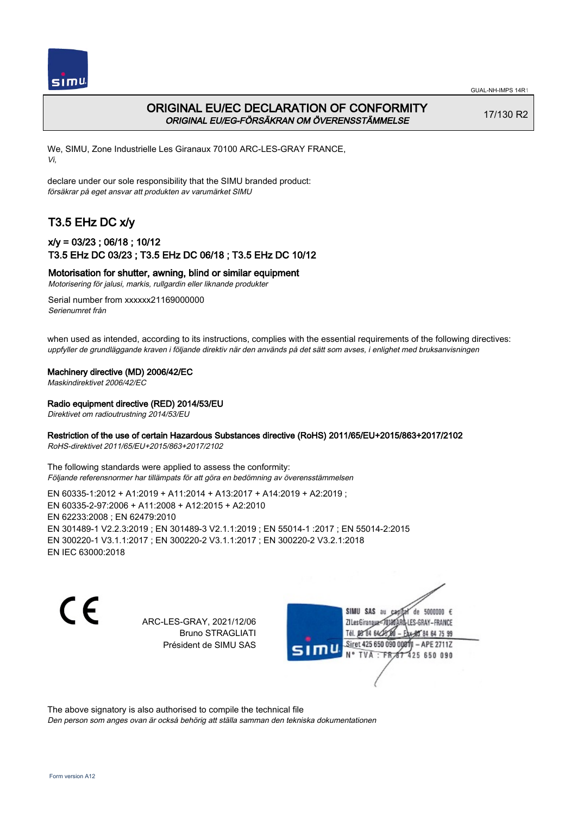

## ORIGINAL EU/EC DECLARATION OF CONFORMITY ORIGINAL EU/EG-FÖRSÄKRAN OM ÖVERENSSTÄMMELSE

17/130 R2

We, SIMU, Zone Industrielle Les Giranaux 70100 ARC-LES-GRAY FRANCE, Vi,

declare under our sole responsibility that the SIMU branded product: försäkrar på eget ansvar att produkten av varumärket SIMU

# T3.5 EHz DC x/y

## x/y = 03/23 ; 06/18 ; 10/12 T3.5 EHz DC 03/23 ; T3.5 EHz DC 06/18 ; T3.5 EHz DC 10/12

Motorisation for shutter, awning, blind or similar equipment

Motorisering för jalusi, markis, rullgardin eller liknande produkter

Serial number from xxxxxx21169000000 Serienumret från

when used as intended, according to its instructions, complies with the essential requirements of the following directives: uppfyller de grundläggande kraven i följande direktiv när den används på det sätt som avses, i enlighet med bruksanvisningen

#### Machinery directive (MD) 2006/42/EC

Maskindirektivet 2006/42/EC

#### Radio equipment directive (RED) 2014/53/EU

Direktivet om radioutrustning 2014/53/EU

### Restriction of the use of certain Hazardous Substances directive (RoHS) 2011/65/EU+2015/863+2017/2102

RoHS-direktivet 2011/65/EU+2015/863+2017/2102

The following standards were applied to assess the conformity: Följande referensnormer har tillämpats för att göra en bedömning av överensstämmelsen

EN 60335‑1:2012 + A1:2019 + A11:2014 + A13:2017 + A14:2019 + A2:2019 ; EN 60335‑2‑97:2006 + A11:2008 + A12:2015 + A2:2010 EN 62233:2008 ; EN 62479:2010 EN 301489‑1 V2.2.3:2019 ; EN 301489‑3 V2.1.1:2019 ; EN 55014‑1 :2017 ; EN 55014‑2:2015 EN 300220‑1 V3.1.1:2017 ; EN 300220‑2 V3.1.1:2017 ; EN 300220‑2 V3.2.1:2018 EN IEC 63000:2018

C F

ARC-LES-GRAY, 2021/12/06 Bruno STRAGLIATI Président de SIMU SAS

de 5000000  $\epsilon$ SIMU SAS au ZI Les Giranaux<sup>2</sup> ES-GRAY-FRANCE Tél. 08 84 64 2 64 75 99 Siret 425 650 090 00811  $-$  APF 27117 125 650 090

The above signatory is also authorised to compile the technical file

Den person som anges ovan är också behörig att ställa samman den tekniska dokumentationen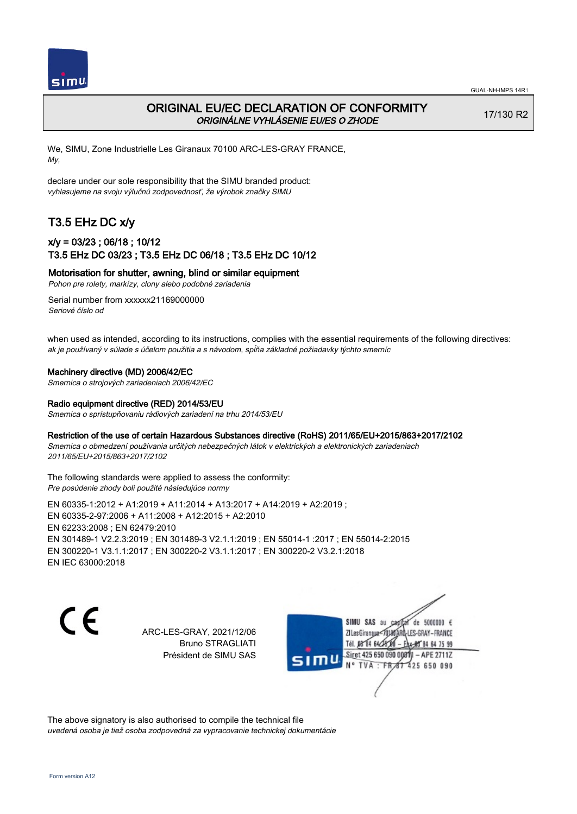

## ORIGINAL EU/EC DECLARATION OF CONFORMITY ORIGINÁLNE VYHLÁSENIE EU/ES O ZHODE

17/130 R2

We, SIMU, Zone Industrielle Les Giranaux 70100 ARC-LES-GRAY FRANCE, My,

declare under our sole responsibility that the SIMU branded product: vyhlasujeme na svoju výlučnú zodpovednosť, že výrobok značky SIMU

# T3.5 EHz DC x/y

## x/y = 03/23 ; 06/18 ; 10/12 T3.5 EHz DC 03/23 ; T3.5 EHz DC 06/18 ; T3.5 EHz DC 10/12

Motorisation for shutter, awning, blind or similar equipment

Pohon pre rolety, markízy, clony alebo podobné zariadenia

Serial number from xxxxxx21169000000 Seriové číslo od

when used as intended, according to its instructions, complies with the essential requirements of the following directives: ak je používaný v súlade s účelom použitia a s návodom, spĺňa základné požiadavky týchto smerníc

#### Machinery directive (MD) 2006/42/EC

Smernica o strojových zariadeniach 2006/42/EC

#### Radio equipment directive (RED) 2014/53/EU

Smernica o sprístupňovaniu rádiových zariadení na trhu 2014/53/EU

#### Restriction of the use of certain Hazardous Substances directive (RoHS) 2011/65/EU+2015/863+2017/2102

Smernica o obmedzení používania určitých nebezpečných látok v elektrických a elektronických zariadeniach 2011/65/EU+2015/863+2017/2102

#### The following standards were applied to assess the conformity: Pre posúdenie zhody boli použité následujúce normy

EN 60335‑1:2012 + A1:2019 + A11:2014 + A13:2017 + A14:2019 + A2:2019 ; EN 60335‑2‑97:2006 + A11:2008 + A12:2015 + A2:2010 EN 62233:2008 ; EN 62479:2010 EN 301489‑1 V2.2.3:2019 ; EN 301489‑3 V2.1.1:2019 ; EN 55014‑1 :2017 ; EN 55014‑2:2015 EN 300220‑1 V3.1.1:2017 ; EN 300220‑2 V3.1.1:2017 ; EN 300220‑2 V3.2.1:2018 EN IEC 63000:2018

 $\epsilon$ 

ARC-LES-GRAY, 2021/12/06 Bruno STRAGLIATI Président de SIMU SAS



The above signatory is also authorised to compile the technical file uvedená osoba je tiež osoba zodpovedná za vypracovanie technickej dokumentácie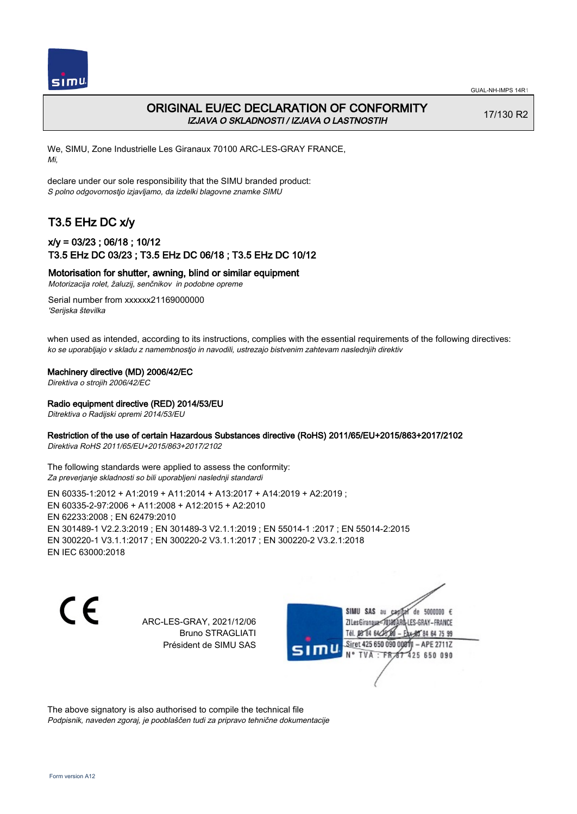

## ORIGINAL EU/EC DECLARATION OF CONFORMITY IZJAVA O SKLADNOSTI / IZJAVA O LASTNOSTIH

17/130 R2

We, SIMU, Zone Industrielle Les Giranaux 70100 ARC-LES-GRAY FRANCE, Mi,

declare under our sole responsibility that the SIMU branded product: S polno odgovornostjo izjavljamo, da izdelki blagovne znamke SIMU

# T3.5 EHz DC x/y

## x/y = 03/23 ; 06/18 ; 10/12 T3.5 EHz DC 03/23 ; T3.5 EHz DC 06/18 ; T3.5 EHz DC 10/12

Motorisation for shutter, awning, blind or similar equipment

Motorizacija rolet, žaluzij, senčnikov in podobne opreme

Serial number from xxxxxx21169000000 'Serijska številka

when used as intended, according to its instructions, complies with the essential requirements of the following directives: ko se uporabljajo v skladu z namembnostjo in navodili, ustrezajo bistvenim zahtevam naslednjih direktiv

#### Machinery directive (MD) 2006/42/EC

Direktiva o strojih 2006/42/EC

#### Radio equipment directive (RED) 2014/53/EU

Ditrektiva o Radijski opremi 2014/53/EU

### Restriction of the use of certain Hazardous Substances directive (RoHS) 2011/65/EU+2015/863+2017/2102

Direktiva RoHS 2011/65/EU+2015/863+2017/2102

The following standards were applied to assess the conformity: Za preverjanje skladnosti so bili uporabljeni naslednji standardi

EN 60335‑1:2012 + A1:2019 + A11:2014 + A13:2017 + A14:2019 + A2:2019 ; EN 60335‑2‑97:2006 + A11:2008 + A12:2015 + A2:2010 EN 62233:2008 ; EN 62479:2010 EN 301489‑1 V2.2.3:2019 ; EN 301489‑3 V2.1.1:2019 ; EN 55014‑1 :2017 ; EN 55014‑2:2015 EN 300220‑1 V3.1.1:2017 ; EN 300220‑2 V3.1.1:2017 ; EN 300220‑2 V3.2.1:2018 EN IEC 63000:2018

C F

ARC-LES-GRAY, 2021/12/06 Bruno STRAGLIATI Président de SIMU SAS

de 5000000  $\epsilon$ SIMU SAS au ZI Les Giranaux</01 LES-GRAY-FRANCE Tél. 08 R4 64 2 64 75 99 Siret 425 650 090 0081  $-$  APF 27117 125 650 090

The above signatory is also authorised to compile the technical file Podpisnik, naveden zgoraj, je pooblaščen tudi za pripravo tehnične dokumentacije